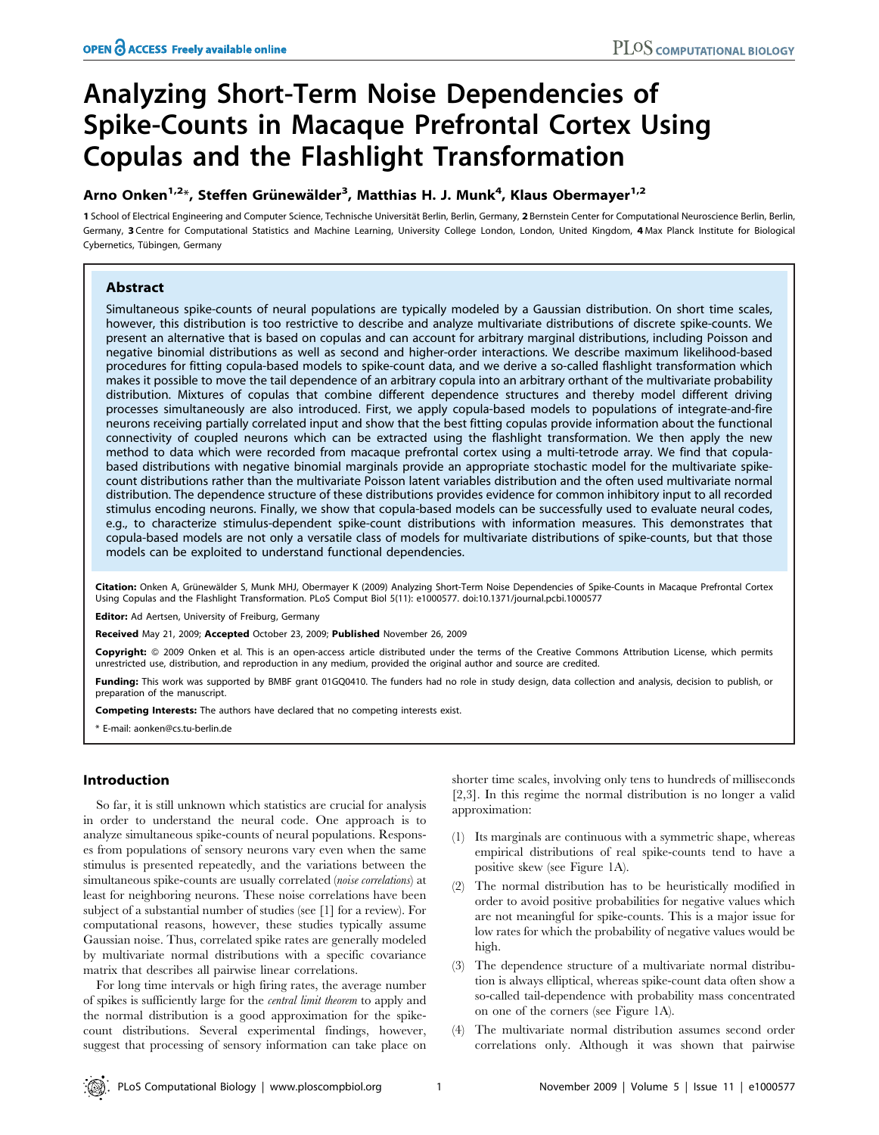# Analyzing Short-Term Noise Dependencies of Spike-Counts in Macaque Prefrontal Cortex Using Copulas and the Flashlight Transformation

## Arno Onken<sup>1,2\*</sup>, Steffen Grünewälder<sup>3</sup>, Matthias H. J. Munk<sup>4</sup>, Klaus Obermayer<sup>1,2</sup>

1 School of Electrical Engineering and Computer Science, Technische Universität Berlin, Berlin, Germany, 2 Bernstein Center for Computational Neuroscience Berlin, Berlin, Germany, 3 Centre for Computational Statistics and Machine Learning, University College London, London, United Kingdom, 4 Max Planck Institute for Biological Cybernetics, Tübingen, Germany

## Abstract

Simultaneous spike-counts of neural populations are typically modeled by a Gaussian distribution. On short time scales, however, this distribution is too restrictive to describe and analyze multivariate distributions of discrete spike-counts. We present an alternative that is based on copulas and can account for arbitrary marginal distributions, including Poisson and negative binomial distributions as well as second and higher-order interactions. We describe maximum likelihood-based procedures for fitting copula-based models to spike-count data, and we derive a so-called flashlight transformation which makes it possible to move the tail dependence of an arbitrary copula into an arbitrary orthant of the multivariate probability distribution. Mixtures of copulas that combine different dependence structures and thereby model different driving processes simultaneously are also introduced. First, we apply copula-based models to populations of integrate-and-fire neurons receiving partially correlated input and show that the best fitting copulas provide information about the functional connectivity of coupled neurons which can be extracted using the flashlight transformation. We then apply the new method to data which were recorded from macaque prefrontal cortex using a multi-tetrode array. We find that copulabased distributions with negative binomial marginals provide an appropriate stochastic model for the multivariate spikecount distributions rather than the multivariate Poisson latent variables distribution and the often used multivariate normal distribution. The dependence structure of these distributions provides evidence for common inhibitory input to all recorded stimulus encoding neurons. Finally, we show that copula-based models can be successfully used to evaluate neural codes, e.g., to characterize stimulus-dependent spike-count distributions with information measures. This demonstrates that copula-based models are not only a versatile class of models for multivariate distributions of spike-counts, but that those models can be exploited to understand functional dependencies.

Citation: Onken A, Grünewälder S, Munk MHJ, Obermayer K (2009) Analyzing Short-Term Noise Dependencies of Spike-Counts in Macaque Prefrontal Cortex Using Copulas and the Flashlight Transformation. PLoS Comput Biol 5(11): e1000577. doi:10.1371/journal.pcbi.1000577

Editor: Ad Aertsen, University of Freiburg, Germany

Received May 21, 2009; Accepted October 23, 2009; Published November 26, 2009

Copyright: © 2009 Onken et al. This is an open-access article distributed under the terms of the Creative Commons Attribution License, which permits unrestricted use, distribution, and reproduction in any medium, provided the original author and source are credited.

Funding: This work was supported by BMBF grant 01GQ0410. The funders had no role in study design, data collection and analysis, decision to publish, or preparation of the manuscript.

Competing Interests: The authors have declared that no competing interests exist.

\* E-mail: aonken@cs.tu-berlin.de

## Introduction

So far, it is still unknown which statistics are crucial for analysis in order to understand the neural code. One approach is to analyze simultaneous spike-counts of neural populations. Responses from populations of sensory neurons vary even when the same stimulus is presented repeatedly, and the variations between the simultaneous spike-counts are usually correlated (noise correlations) at least for neighboring neurons. These noise correlations have been subject of a substantial number of studies (see [1] for a review). For computational reasons, however, these studies typically assume Gaussian noise. Thus, correlated spike rates are generally modeled by multivariate normal distributions with a specific covariance matrix that describes all pairwise linear correlations.

For long time intervals or high firing rates, the average number of spikes is sufficiently large for the central limit theorem to apply and the normal distribution is a good approximation for the spikecount distributions. Several experimental findings, however, suggest that processing of sensory information can take place on shorter time scales, involving only tens to hundreds of milliseconds [2,3]. In this regime the normal distribution is no longer a valid approximation:

- (1) Its marginals are continuous with a symmetric shape, whereas empirical distributions of real spike-counts tend to have a positive skew (see Figure 1A).
- (2) The normal distribution has to be heuristically modified in order to avoid positive probabilities for negative values which are not meaningful for spike-counts. This is a major issue for low rates for which the probability of negative values would be high.
- (3) The dependence structure of a multivariate normal distribution is always elliptical, whereas spike-count data often show a so-called tail-dependence with probability mass concentrated on one of the corners (see Figure 1A).
- (4) The multivariate normal distribution assumes second order correlations only. Although it was shown that pairwise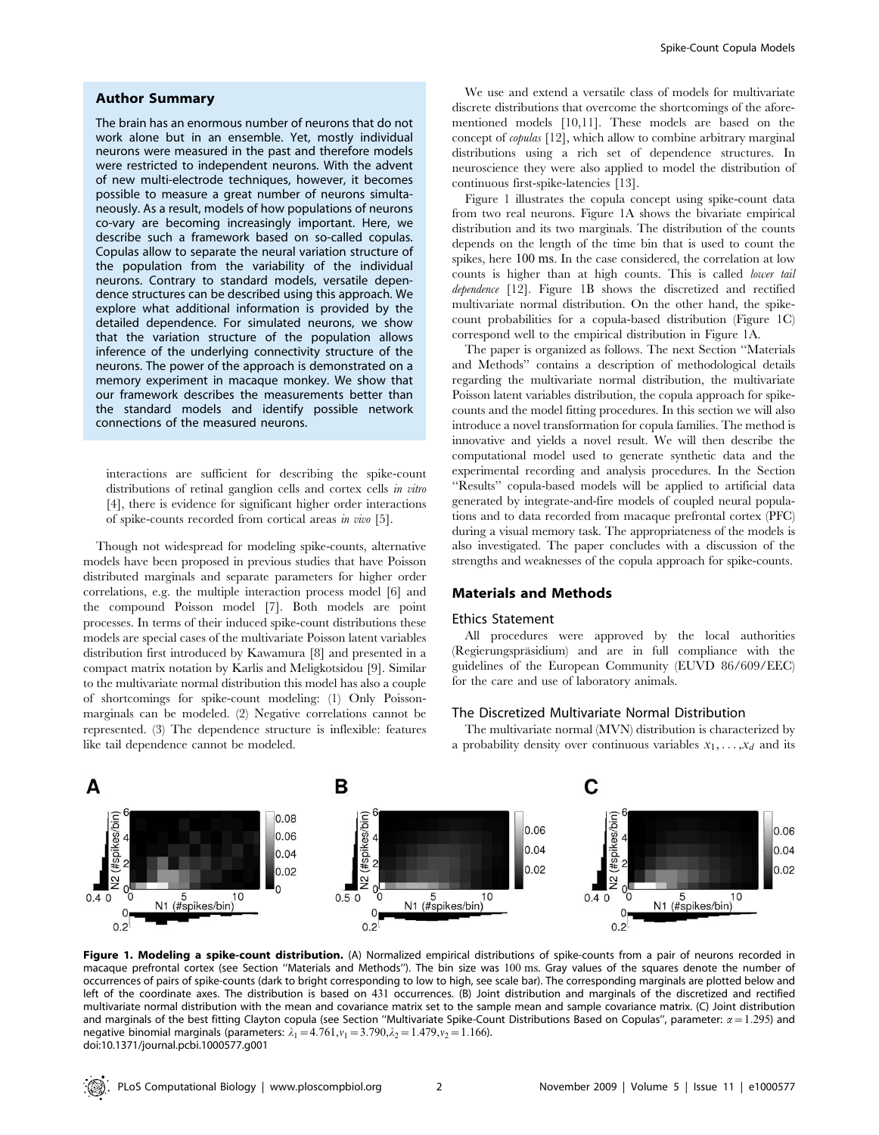## Author Summary

The brain has an enormous number of neurons that do not work alone but in an ensemble. Yet, mostly individual neurons were measured in the past and therefore models were restricted to independent neurons. With the advent of new multi-electrode techniques, however, it becomes possible to measure a great number of neurons simultaneously. As a result, models of how populations of neurons co-vary are becoming increasingly important. Here, we describe such a framework based on so-called copulas. Copulas allow to separate the neural variation structure of the population from the variability of the individual neurons. Contrary to standard models, versatile dependence structures can be described using this approach. We explore what additional information is provided by the detailed dependence. For simulated neurons, we show that the variation structure of the population allows inference of the underlying connectivity structure of the neurons. The power of the approach is demonstrated on a memory experiment in macaque monkey. We show that our framework describes the measurements better than the standard models and identify possible network connections of the measured neurons.

interactions are sufficient for describing the spike-count distributions of retinal ganglion cells and cortex cells in vitro [4], there is evidence for significant higher order interactions of spike-counts recorded from cortical areas in vivo [5].

Though not widespread for modeling spike-counts, alternative models have been proposed in previous studies that have Poisson distributed marginals and separate parameters for higher order correlations, e.g. the multiple interaction process model [6] and the compound Poisson model [7]. Both models are point processes. In terms of their induced spike-count distributions these models are special cases of the multivariate Poisson latent variables distribution first introduced by Kawamura [8] and presented in a compact matrix notation by Karlis and Meligkotsidou [9]. Similar to the multivariate normal distribution this model has also a couple of shortcomings for spike-count modeling: (1) Only Poissonmarginals can be modeled. (2) Negative correlations cannot be represented. (3) The dependence structure is inflexible: features like tail dependence cannot be modeled.

We use and extend a versatile class of models for multivariate discrete distributions that overcome the shortcomings of the aforementioned models [10,11]. These models are based on the concept of copulas [12], which allow to combine arbitrary marginal distributions using a rich set of dependence structures. In neuroscience they were also applied to model the distribution of continuous first-spike-latencies [13].

Figure 1 illustrates the copula concept using spike-count data from two real neurons. Figure 1A shows the bivariate empirical distribution and its two marginals. The distribution of the counts depends on the length of the time bin that is used to count the spikes, here 100 ms. In the case considered, the correlation at low counts is higher than at high counts. This is called lower tail dependence [12]. Figure 1B shows the discretized and rectified multivariate normal distribution. On the other hand, the spikecount probabilities for a copula-based distribution (Figure 1C) correspond well to the empirical distribution in Figure 1A.

The paper is organized as follows. The next Section ''Materials and Methods'' contains a description of methodological details regarding the multivariate normal distribution, the multivariate Poisson latent variables distribution, the copula approach for spikecounts and the model fitting procedures. In this section we will also introduce a novel transformation for copula families. The method is innovative and yields a novel result. We will then describe the computational model used to generate synthetic data and the experimental recording and analysis procedures. In the Section ''Results'' copula-based models will be applied to artificial data generated by integrate-and-fire models of coupled neural populations and to data recorded from macaque prefrontal cortex (PFC) during a visual memory task. The appropriateness of the models is also investigated. The paper concludes with a discussion of the strengths and weaknesses of the copula approach for spike-counts.

### Materials and Methods

#### Ethics Statement

All procedures were approved by the local authorities (Regierungspräsidium) and are in full compliance with the guidelines of the European Community (EUVD 86/609/EEC) for the care and use of laboratory animals.

#### The Discretized Multivariate Normal Distribution

The multivariate normal (MVN) distribution is characterized by a probability density over continuous variables  $x_1, \ldots, x_d$  and its



Figure 1. Modeling a spike-count distribution. (A) Normalized empirical distributions of spike-counts from a pair of neurons recorded in macaque prefrontal cortex (see Section ''Materials and Methods''). The bin size was 100 ms. Gray values of the squares denote the number of occurrences of pairs of spike-counts (dark to bright corresponding to low to high, see scale bar). The corresponding marginals are plotted below and left of the coordinate axes. The distribution is based on 431 occurrences. (B) Joint distribution and marginals of the discretized and rectified multivariate normal distribution with the mean and covariance matrix set to the sample mean and sample covariance matrix. (C) Joint distribution and marginals of the best fitting Clayton copula (see Section "Multivariate Spike-Count Distributions Based on Copulas", parameter:  $\alpha = 1.295$ ) and negative binomial marginals (parameters:  $\lambda_1 = 4.761, v_1 = 3.790, \lambda_2 = 1.479, v_2 = 1.166$ ). doi:10.1371/journal.pcbi.1000577.g001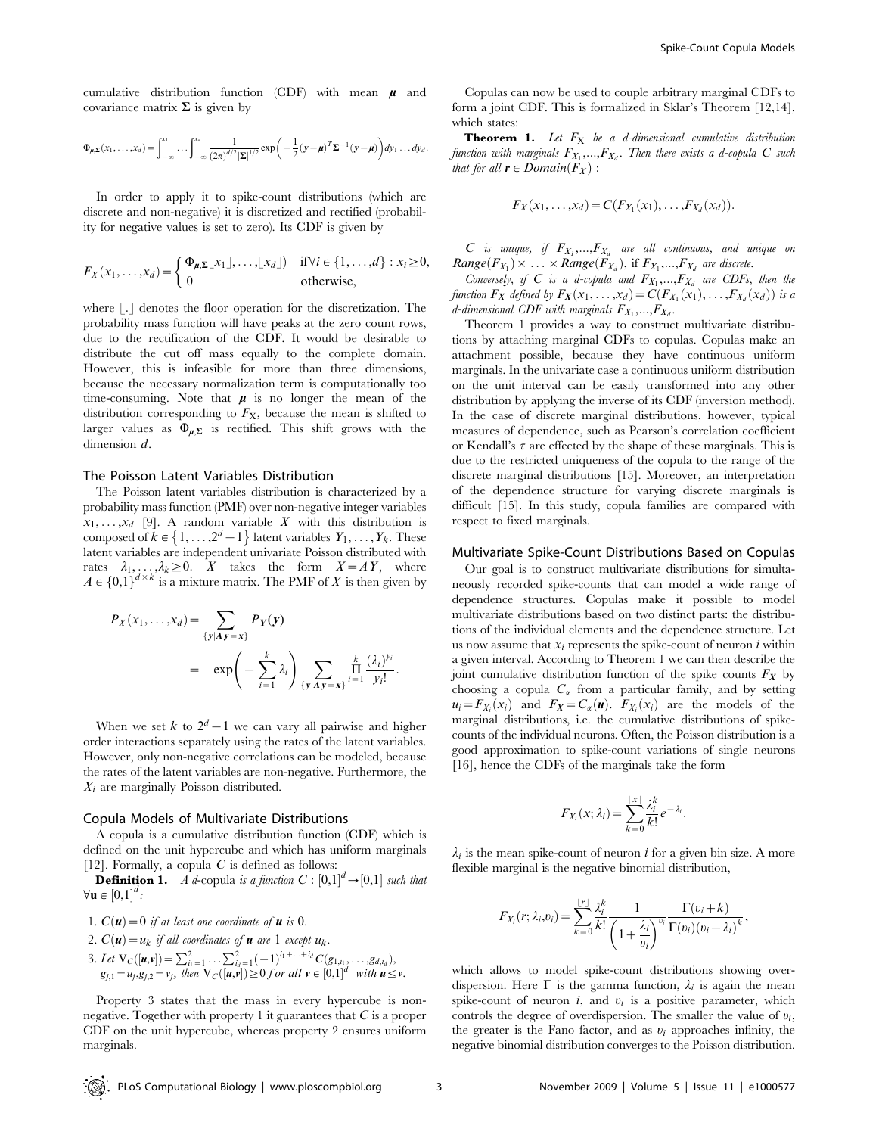cumulative distribution function (CDF) with mean  $\mu$  and covariance matrix  $\Sigma$  is given by

$$
\Phi_{\mu,\Sigma}(x_1,\ldots,x_d) = \int_{-\infty}^{x_1} \ldots \int_{-\infty}^{x_d} \frac{1}{(2\pi)^{d/2} |\Sigma|^{1/2}} \exp\bigg(-\frac{1}{2}(\mathbf{y}-\mu)^T \Sigma^{-1}(\mathbf{y}-\mu)\bigg) dy_1 \ldots dy_d.
$$

In order to apply it to spike-count distributions (which are discrete and non-negative) it is discretized and rectified (probability for negative values is set to zero). Its CDF is given by

$$
F_X(x_1,\ldots,x_d) = \begin{cases} \Phi_{\mu,\Sigma} \lfloor x_1 \rfloor, \ldots, \lfloor x_d \rfloor & \text{if } \forall i \in \{1,\ldots,d\} : x_i \geq 0, \\ 0 & \text{otherwise,} \end{cases}
$$

where  $\left| \cdot \right|$  denotes the floor operation for the discretization. The probability mass function will have peaks at the zero count rows, due to the rectification of the CDF. It would be desirable to distribute the cut off mass equally to the complete domain. However, this is infeasible for more than three dimensions, because the necessary normalization term is computationally too time-consuming. Note that  $\mu$  is no longer the mean of the distribution corresponding to  $F_X$ , because the mean is shifted to larger values as  $\Phi_{\mu,\Sigma}$  is rectified. This shift grows with the dimension d.

#### The Poisson Latent Variables Distribution

The Poisson latent variables distribution is characterized by a probability mass function (PMF) over non-negative integer variables  $x_1, \ldots, x_d$  [9]. A random variable X with this distribution is composed of  $k \in \{ 1, \ldots, 2^d-1 \}$  latent variables  $Y_1, \ldots, Y_k$ . These latent variables are independent univariate Poisson distributed with rates  $\lambda_1, \ldots, \lambda_k \geq 0$ . X takes the form  $X = AY$ , where  $A \in \{0,1\}^{d \times k}$  is a mixture matrix. The PMF of X is then given by

$$
P_X(x_1,\ldots,x_d) = \sum_{\{y \mid Ay = x\}} P_Y(y)
$$
  
= 
$$
\exp\left(-\sum_{i=1}^k \lambda_i\right) \sum_{\{y \mid Ay = x\}} \prod_{i=1}^k \frac{(\lambda_i)^{y_i}}{y_i!}.
$$

When we set k to  $2^d-1$  we can vary all pairwise and higher order interactions separately using the rates of the latent variables. However, only non-negative correlations can be modeled, because the rates of the latent variables are non-negative. Furthermore, the  $X_i$  are marginally Poisson distributed.

#### Copula Models of Multivariate Distributions

A copula is a cumulative distribution function (CDF) which is defined on the unit hypercube and which has uniform marginals [12]. Formally, a copula  $C$  is defined as follows:

**Definition 1.** A d-copula is a function  $C : [0,1]^d \rightarrow [0,1]$  such that  $\forall \mathbf{u} \in [0,1]^d$ :

\n- 1. 
$$
C(\mathbf{u}) = 0
$$
 if at least one coordinate of **u** is 0.
\n- 2.  $C(\mathbf{u}) = u_k$  if all coordinates of **u** are 1 except  $u_k$ .
\n- 3. Let  $V_C([u, v]) = \sum_{i_1=1}^2 \cdots \sum_{i_d=1}^2 (-1)^{i_1 + \cdots + i_d} C(g_{1, i_1}, \ldots, g_{d, i_d}), g_{j,1} = u_j, g_{j,2} = v_j$ , then  $V_C([u, v]) \geq 0$  for all  $v \in [0, 1]^d$  with  $u \leq v$ .
\n

Property 3 states that the mass in every hypercube is nonnegative. Together with property 1 it guarantees that  $C$  is a proper CDF on the unit hypercube, whereas property 2 ensures uniform marginals.

Copulas can now be used to couple arbitrary marginal CDFs to form a joint CDF. This is formalized in Sklar's Theorem [12,14], which states:

**Theorem 1.** Let  $F_X$  be a d-dimensional cumulative distribution function with marginals  $F_{X_1},...,F_{X_d}$ . Then there exists a d-copula C such that for all  $\mathbf{r} \in Domain(F_X)$ :

$$
F_X(x_1,\ldots,x_d) = C(F_{X_1}(x_1),\ldots,F_{X_d}(x_d)).
$$

C is unique, if  $F_{X_1},...,F_{X_d}$  are all continuous, and unique on  $Range(F_{X_1}) \times \ldots \times Range(F_{X_d})$ , if  $F_{X_1},...,F_{X_d}$  are discrete.

Conversely, if C is a d-copula and  $F_{X_1},...,F_{X_d}$  are CDFs, then the function  $F_X$  defined by  $F_X(x_1, \ldots, x_d) = C(F_{X_1}(x_1), \ldots, F_{X_d}(x_d))$  is a d-dimensional CDF with marginals  $F_{X_1},...,F_{X_d}$ .

Theorem 1 provides a way to construct multivariate distributions by attaching marginal CDFs to copulas. Copulas make an attachment possible, because they have continuous uniform marginals. In the univariate case a continuous uniform distribution on the unit interval can be easily transformed into any other distribution by applying the inverse of its CDF (inversion method). In the case of discrete marginal distributions, however, typical measures of dependence, such as Pearson's correlation coefficient or Kendall's  $\tau$  are effected by the shape of these marginals. This is due to the restricted uniqueness of the copula to the range of the discrete marginal distributions [15]. Moreover, an interpretation of the dependence structure for varying discrete marginals is difficult [15]. In this study, copula families are compared with respect to fixed marginals.

#### Multivariate Spike-Count Distributions Based on Copulas

Our goal is to construct multivariate distributions for simultaneously recorded spike-counts that can model a wide range of dependence structures. Copulas make it possible to model multivariate distributions based on two distinct parts: the distributions of the individual elements and the dependence structure. Let us now assume that  $x_i$  represents the spike-count of neuron i within a given interval. According to Theorem 1 we can then describe the joint cumulative distribution function of the spike counts  $F_X$  by choosing a copula  $C_{\alpha}$  from a particular family, and by setting  $u_i = F_{X_i}(x_i)$  and  $F_X = C_\alpha(\boldsymbol{u})$ .  $F_{X_i}(x_i)$  are the models of the marginal distributions, i.e. the cumulative distributions of spikecounts of the individual neurons. Often, the Poisson distribution is a good approximation to spike-count variations of single neurons [16], hence the CDFs of the marginals take the form

$$
F_{X_i}(x; \lambda_i) = \sum_{k=0}^{\lfloor x \rfloor} \frac{\lambda_i^k}{k!} e^{-\lambda_i}.
$$

 $\lambda_i$  is the mean spike-count of neuron *i* for a given bin size. A more flexible marginal is the negative binomial distribution,

$$
F_{X_i}(r; \lambda_i, v_i) = \sum_{k=0}^{\lfloor r \rfloor} \frac{\lambda_i^k}{k!} \frac{1}{\left(1 + \frac{\lambda_i}{v_i}\right)^{v_i}} \frac{\Gamma(v_i + k)}{\Gamma(v_i)(v_i + \lambda_i)^k},
$$

which allows to model spike-count distributions showing overdispersion. Here  $\Gamma$  is the gamma function,  $\lambda_i$  is again the mean spike-count of neuron  $i$ , and  $v_i$  is a positive parameter, which controls the degree of overdispersion. The smaller the value of  $v_i$ , the greater is the Fano factor, and as  $v_i$  approaches infinity, the negative binomial distribution converges to the Poisson distribution.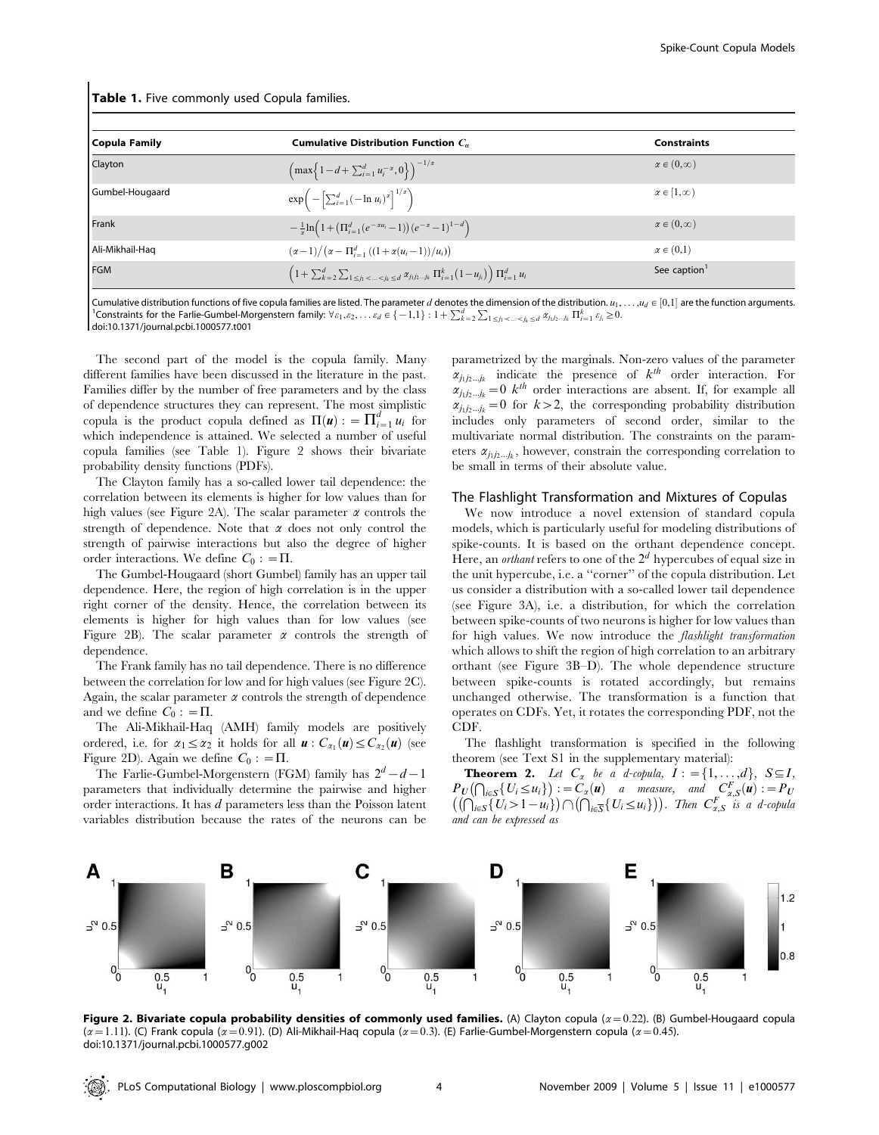Table 1. Five commonly used Copula families.

| Copula Family   | Cumulative Distribution Function $C_a$                                                                                                  | <b>Constraints</b>       |
|-----------------|-----------------------------------------------------------------------------------------------------------------------------------------|--------------------------|
| Clayton         | $\left(\max\left\{1-d+\sum_{i=1}^du_i^{-\alpha},0\right\}\right)^{-1/\alpha}$                                                           | $\alpha \in (0,\infty)$  |
| Gumbel-Hougaard | $\exp \left(-\left[\sum_{i=1}^{d}(-\ln u_{i})^{x}\right]^{1/x}\right)$                                                                  | $\alpha \in [1,\infty)$  |
| Frank           | $-\frac{1}{\alpha}\ln\left(1+\left(\Pi_{i=1}^{d}(e^{-\alpha u_i}-1)\right)(e^{-\alpha}-1)^{1-d}\right)$                                 | $\alpha \in (0,\infty)$  |
| Ali-Mikhail-Haq | $(\alpha-1)/(\alpha-\Pi_{i-1}^d ((1+\alpha(u_i-1))/u_i))$                                                                               | $\alpha \in (0,1)$       |
| <b>FGM</b>      | $\left(1+\sum_{k=2}^{d} \sum_{1 \leq j_1 <  < j_k \leq d} \alpha_{j_1 j_2  j_k} \prod_{i=1}^{k} (1-u_{j_i})\right) \prod_{i=1}^{d} u_i$ | See caption <sup>1</sup> |

Cumulative distribution functions of five copula families are listed. The parameter d denotes the dimension of the distribution.  $u_1, \ldots, u_d \in [0,1]$  are the function arguments. Constraints for the Farlie-Gumbel-Morgenstern family:  $\forall \varepsilon_1, \varepsilon_2, \ldots \varepsilon_d \in \{-1, 1\} : 1 + \sum_{k=2}^d \sum_{1 \le j_1 < \ldots < j_k \le d} \frac{\partial_j}{\partial j_1 j_2 \ldots j_k} \prod_{i=1}^k \varepsilon_{j_i} \ge 0$ . doi:10.1371/journal.pcbi.1000577.t001

The second part of the model is the copula family. Many different families have been discussed in the literature in the past. Families differ by the number of free parameters and by the class of dependence structures they can represent. The most simplistic copula is the product copula defined as  $\Pi(\mathbf{u})$  : =  $\prod_{i=1}^{d} u_i$  for which independence is attained. We selected a number of useful copula families (see Table 1). Figure 2 shows their bivariate probability density functions (PDFs).

The Clayton family has a so-called lower tail dependence: the correlation between its elements is higher for low values than for high values (see Figure 2A). The scalar parameter  $\alpha$  controls the strength of dependence. Note that  $\alpha$  does not only control the strength of pairwise interactions but also the degree of higher order interactions. We define  $C_0$ : =  $\Pi$ .

The Gumbel-Hougaard (short Gumbel) family has an upper tail dependence. Here, the region of high correlation is in the upper right corner of the density. Hence, the correlation between its elements is higher for high values than for low values (see Figure 2B). The scalar parameter  $\alpha$  controls the strength of dependence.

The Frank family has no tail dependence. There is no difference between the correlation for low and for high values (see Figure 2C). Again, the scalar parameter  $\alpha$  controls the strength of dependence and we define  $C_0$  :  $= \Pi$ .

The Ali-Mikhail-Haq (AMH) family models are positively ordered, i.e. for  $\alpha_1 \leq \alpha_2$  it holds for all  $\mathbf{u} : C_{\alpha_1}(\mathbf{u}) \leq C_{\alpha_2}(\mathbf{u})$  (see Figure 2D). Again we define  $C_0$  : =  $\Pi$ .

The Farlie-Gumbel-Morgenstern (FGM) family has  $2^d - d - 1$ parameters that individually determine the pairwise and higher order interactions. It has d parameters less than the Poisson latent variables distribution because the rates of the neurons can be parametrized by the marginals. Non-zero values of the parameter  $\alpha_{j_1j_2...j_k}$  indicate the presence of  $k^{th}$  order interaction. For  $\alpha_{j_1j_2...j_k}=0$  k<sup>th</sup> order interactions are absent. If, for example all  $\alpha_{j_1j_2...j_k}=0$  for  $k>2$ , the corresponding probability distribution includes only parameters of second order, similar to the multivariate normal distribution. The constraints on the parameters  $\alpha_{j_1j_2...j_k}$ , however, constrain the corresponding correlation to be small in terms of their absolute value.

#### The Flashlight Transformation and Mixtures of Copulas

We now introduce a novel extension of standard copula models, which is particularly useful for modeling distributions of spike-counts. It is based on the orthant dependence concept. Here, an *orthant* refers to one of the  $2<sup>d</sup>$  hypercubes of equal size in the unit hypercube, i.e. a ''corner'' of the copula distribution. Let us consider a distribution with a so-called lower tail dependence (see Figure 3A), i.e. a distribution, for which the correlation between spike-counts of two neurons is higher for low values than for high values. We now introduce the flashlight transformation which allows to shift the region of high correlation to an arbitrary orthant (see Figure 3B–D). The whole dependence structure between spike-counts is rotated accordingly, but remains unchanged otherwise. The transformation is a function that operates on CDFs. Yet, it rotates the corresponding PDF, not the CDF.

The flashlight transformation is specified in the following theorem (see Text S1 in the supplementary material):

**Theorem 2.** Let  $C_{\alpha}$  be a d-copula,  $I := \{1, \ldots, d\}, S \subseteq I$ , **Pu**( $\bigcap_{i \in S} \{U_i \le u_i\}$ ) :  $=C_{\alpha}(\mathbf{u})$  a measure, and  $C_{\alpha,S}^F(\mathbf{u}) := P_{\alpha}$  $\iint_{C} \frac{V_{\{i\in S\}}(U_i \leq u_i f) - \sum_{\alpha} u_i}{\left(\left(\bigcap_{i\in S} \{U_i > 1 - u_i\}\right) \cap \bigcap_{i\in S} \{U_i \leq u_i\}\right)\right)}$ . Then  $C_{\alpha,S}^F$  is a d-copula and can be expressed as



Figure 2. Bivariate copula probability densities of commonly used families. (A) Clayton copula ( $\alpha$  = 0.22). (B) Gumbel-Hougaard copula  $(\alpha=1.11)$ . (C) Frank copula ( $\alpha=0.91$ ). (D) Ali-Mikhail-Haq copula ( $\alpha=0.3$ ). (E) Farlie-Gumbel-Morgenstern copula ( $\alpha=0.45$ ). doi:10.1371/journal.pcbi.1000577.g002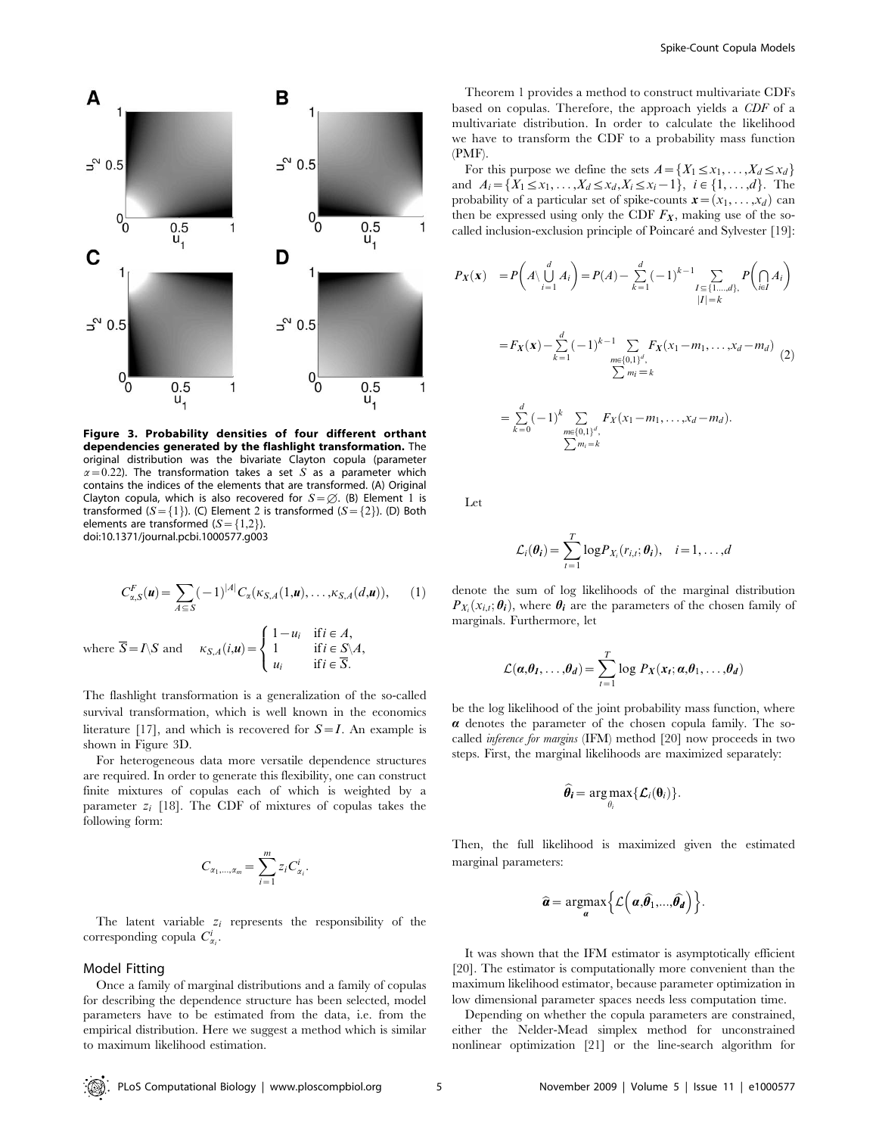

Figure 3. Probability densities of four different orthant dependencies generated by the flashlight transformation. The original distribution was the bivariate Clayton copula (parameter  $\alpha$  = 0.22). The transformation takes a set S as a parameter which contains the indices of the elements that are transformed. (A) Original Clayton copula, which is also recovered for  $S=\emptyset$ . (B) Element 1 is transformed  $(S = \{1\})$ . (C) Element 2 is transformed  $(S = \{2\})$ . (D) Both elements are transformed  $(S = \{1,2\})$ . doi:10.1371/journal.pcbi.1000577.g003

$$
C_{\alpha,S}^{F}(\mathbf{u}) = \sum_{A \subseteq S} (-1)^{|A|} C_{\alpha}(\kappa_{S,A}(1,\mathbf{u}), \dots, \kappa_{S,A}(d,\mathbf{u})), \quad (1)
$$
  
- 
$$
\int 1 - u_i \text{ if } i \in A,
$$

where  $\overline{S} = I \setminus S$  and  $\kappa_{S,A}(i,\boldsymbol{\mu}) = \begin{cases}$ 1 if  $i \in S \setminus A$ ,  $u_i$  if  $i \in S$ .  $\mathbf{I}$ 

The flashlight transformation is a generalization of the so-called survival transformation, which is well known in the economics literature [17], and which is recovered for  $S=I$ . An example is shown in Figure 3D.

For heterogeneous data more versatile dependence structures are required. In order to generate this flexibility, one can construct finite mixtures of copulas each of which is weighted by a parameter  $z_i$  [18]. The CDF of mixtures of copulas takes the following form:

$$
C_{\alpha_1,\dots,\alpha_m}=\sum_{i=1}^m z_i C_{\alpha_i}^i.
$$

The latent variable  $z_i$  represents the responsibility of the corresponding copula  $C^i_{\alpha_i}$ .

#### Model Fitting

Once a family of marginal distributions and a family of copulas for describing the dependence structure has been selected, model parameters have to be estimated from the data, i.e. from the empirical distribution. Here we suggest a method which is similar to maximum likelihood estimation.

Theorem 1 provides a method to construct multivariate CDFs based on copulas. Therefore, the approach yields a CDF of a multivariate distribution. In order to calculate the likelihood we have to transform the CDF to a probability mass function (PMF).

For this purpose we define the sets  $A = \{X_1 \le x_1, \ldots, X_d \le x_d\}$ and  $A_i = \{X_1 \le x_1, \ldots, X_d \le x_d, X_i \le x_i - 1\}, i \in \{1, \ldots, d\}.$  The probability of a particular set of spike-counts  $\mathbf{x}=(x_1, \ldots, x_d)$  can then be expressed using only the CDF  $F_X$ , making use of the socalled inclusion-exclusion principle of Poincaré and Sylvester [19]:

$$
P_X(\mathbf{x}) = P\left(A \setminus \bigcup_{i=1}^d A_i\right) = P(A) - \sum_{k=1}^d (-1)^{k-1} \sum_{\substack{I \subseteq \{1,\ldots,d\}, \\ |I| = k}} P\left(\bigcap_{i \in I} A_i\right)
$$
  

$$
= F_X(\mathbf{x}) - \sum_{k=1}^d (-1)^{k-1} \sum_{\substack{m \in \{0,1\}^d, \\ \sum m_i = k}} F_X(x_1 - m_1, \ldots, x_d - m_d) \tag{2}
$$
  

$$
= \sum_{k=0}^d (-1)^k \sum_{\substack{m \in \{0,1\}^d, \\ m \in \{0,1\}^d, \\ \sum m_i = k}} F_X(x_1 - m_1, \ldots, x_d - m_d).
$$

Let

$$
\mathcal{L}_i(\boldsymbol{\theta_i}) = \sum_{t=1}^T \log P_{X_i}(r_{i,t}; \boldsymbol{\theta_i}), \quad i = 1, \ldots, d
$$

denote the sum of log likelihoods of the marginal distribution  $P_{X_i}(x_{i,t};\theta_i)$ , where  $\theta_i$  are the parameters of the chosen family of marginals. Furthermore, let

$$
\mathcal{L}(\boldsymbol{\alpha},\boldsymbol{\theta}_1,\ldots,\boldsymbol{\theta}_d)=\sum_{t=1}^T\log P_X(\boldsymbol{x}_t;\boldsymbol{\alpha},\boldsymbol{\theta}_1,\ldots,\boldsymbol{\theta}_d)
$$

be the log likelihood of the joint probability mass function, where  $\alpha$  denotes the parameter of the chosen copula family. The socalled inference for margins (IFM) method [20] now proceeds in two steps. First, the marginal likelihoods are maximized separately:

$$
\widehat{\theta_i} = \arg \max_{\theta_i} \{ \mathcal{L}_i(\theta_i) \}.
$$

Then, the full likelihood is maximized given the estimated marginal parameters:

$$
\widehat{\boldsymbol{a}} = \underset{\boldsymbol{a}}{\operatorname{argmax}} \Big\{ \mathcal{L} \Big( \boldsymbol{a}, \widehat{\boldsymbol{\theta}}_1, ..., \widehat{\boldsymbol{\theta}}_{\boldsymbol{d}} \Big) \Big\}.
$$

It was shown that the IFM estimator is asymptotically efficient [20]. The estimator is computationally more convenient than the maximum likelihood estimator, because parameter optimization in low dimensional parameter spaces needs less computation time.

Depending on whether the copula parameters are constrained, either the Nelder-Mead simplex method for unconstrained nonlinear optimization [21] or the line-search algorithm for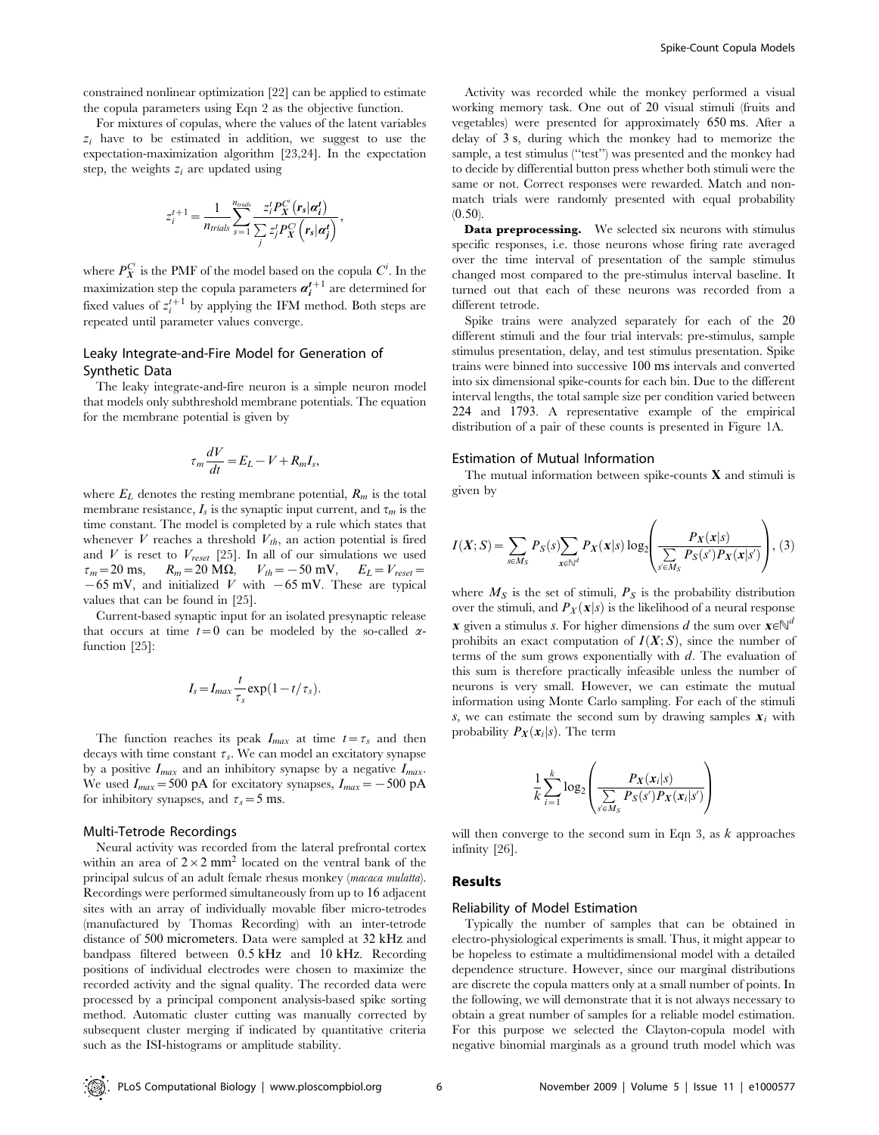constrained nonlinear optimization [22] can be applied to estimate the copula parameters using Eqn 2 as the objective function.

For mixtures of copulas, where the values of the latent variables  $z_i$  have to be estimated in addition, we suggest to use the expectation-maximization algorithm [23,24]. In the expectation step, the weights  $z_i$  are updated using

$$
z_i^{t+1} = \frac{1}{n_{trials}} \sum_{s=1}^{n_{trials}} \frac{z_i^t P_X^{C^i}(\mathbf{r}_s | \boldsymbol{\alpha}_i^t)}{\sum_j z_j^t P_X^{C^j}(\mathbf{r}_s | \boldsymbol{\alpha}_j^t)},
$$

where  $P_X^{C^i}$  is the PMF of the model based on the copula  $C^i$ . In the maximization step the copula parameters  $\boldsymbol{\alpha_i^{t+1}}$  are determined for fixed values of  $z_i^{t+1}$  by applying the IFM method. Both steps are repeated until parameter values converge.

## Leaky Integrate-and-Fire Model for Generation of Synthetic Data

The leaky integrate-and-fire neuron is a simple neuron model that models only subthreshold membrane potentials. The equation for the membrane potential is given by

$$
\tau_m \frac{dV}{dt} = E_L - V + R_m I_s,
$$

where  $E_L$  denotes the resting membrane potential,  $R_m$  is the total membrane resistance,  $I_s$  is the synaptic input current, and  $\tau_m$  is the time constant. The model is completed by a rule which states that whenever V reaches a threshold  $V_{th}$ , an action potential is fired and V is reset to  $V_{reset}$  [25]. In all of our simulations we used  $\tau_m = 20$  ms,  $R_m = 20$  M $\Omega$ ,  $V_{th} = -50$  mV,  $E_L = V_{reset} =$  $R_m = 20 \text{ M}\Omega$ ,  $V_{th} = -50 \text{ mV}$ ,  $E_L = V_{reset}$  $-65$  mV, and initialized V with  $-65$  mV. These are typical values that can be found in [25].

Current-based synaptic input for an isolated presynaptic release that occurs at time  $t=0$  can be modeled by the so-called  $\alpha$ function [25]:

$$
I_s = I_{max} \frac{t}{\tau_s} \exp(1 - t/\tau_s).
$$

The function reaches its peak  $I_{max}$  at time  $t = \tau_s$  and then decays with time constant  $\tau_s$ . We can model an excitatory synapse by a positive  $I_{max}$  and an inhibitory synapse by a negative  $I_{max}$ . We used  $I_{max}$  = 500 pA for excitatory synapses,  $I_{max}$  = -500 pA for inhibitory synapses, and  $\tau_s = 5$  ms.

#### Multi-Tetrode Recordings

Neural activity was recorded from the lateral prefrontal cortex within an area of  $2\times2$  mm<sup>2</sup> located on the ventral bank of the principal sulcus of an adult female rhesus monkey (macaca mulatta). Recordings were performed simultaneously from up to 16 adjacent sites with an array of individually movable fiber micro-tetrodes (manufactured by Thomas Recording) with an inter-tetrode distance of 500 micrometers. Data were sampled at 32 kHz and bandpass filtered between 0:5 kHz and 10 kHz. Recording positions of individual electrodes were chosen to maximize the recorded activity and the signal quality. The recorded data were processed by a principal component analysis-based spike sorting method. Automatic cluster cutting was manually corrected by subsequent cluster merging if indicated by quantitative criteria such as the ISI-histograms or amplitude stability.

Activity was recorded while the monkey performed a visual working memory task. One out of 20 visual stimuli (fruits and vegetables) were presented for approximately 650 ms. After a delay of 3 s, during which the monkey had to memorize the sample, a test stimulus (''test'') was presented and the monkey had to decide by differential button press whether both stimuli were the same or not. Correct responses were rewarded. Match and nonmatch trials were randomly presented with equal probability  $(0.50)$ .

Data preprocessing. We selected six neurons with stimulus specific responses, i.e. those neurons whose firing rate averaged over the time interval of presentation of the sample stimulus changed most compared to the pre-stimulus interval baseline. It turned out that each of these neurons was recorded from a different tetrode.

Spike trains were analyzed separately for each of the 20 different stimuli and the four trial intervals: pre-stimulus, sample stimulus presentation, delay, and test stimulus presentation. Spike trains were binned into successive 100 ms intervals and converted into six dimensional spike-counts for each bin. Due to the different interval lengths, the total sample size per condition varied between 224 and 1793. A representative example of the empirical distribution of a pair of these counts is presented in Figure 1A.

#### Estimation of Mutual Information

The mutual information between spike-counts  $X$  and stimuli is given by

$$
I(X; S) = \sum_{s \in M_S} P_S(s) \sum_{x \in \mathbb{N}^d} P_X(x|s) \log_2 \left( \frac{P_X(x|s)}{\sum_{s' \in M_S} P_S(s') P_X(x|s')} \right), (3)
$$

where  $M<sub>S</sub>$  is the set of stimuli,  $P<sub>S</sub>$  is the probability distribution over the stimuli, and  $P_X(x|s)$  is the likelihood of a neural response **x** given a stimulus s. For higher dimensions d the sum over  $\mathbf{x} \in \mathbb{N}^d$ prohibits an exact computation of  $I(X; S)$ , since the number of terms of the sum grows exponentially with  $d$ . The evaluation of this sum is therefore practically infeasible unless the number of neurons is very small. However, we can estimate the mutual information using Monte Carlo sampling. For each of the stimuli s, we can estimate the second sum by drawing samples  $x_i$  with probability  $P_X(x_i|s)$ . The term

$$
\frac{1}{k}\sum_{i=1}^k \log_2 \left( \frac{P_X(\mathbf{x}_i|s)}{\sum_{s' \in M_S} P_S(s')P_X(\mathbf{x}_i|s')} \right)
$$

will then converge to the second sum in Eqn 3, as  $k$  approaches infinity [26].

## Results

#### Reliability of Model Estimation

Typically the number of samples that can be obtained in electro-physiological experiments is small. Thus, it might appear to be hopeless to estimate a multidimensional model with a detailed dependence structure. However, since our marginal distributions are discrete the copula matters only at a small number of points. In the following, we will demonstrate that it is not always necessary to obtain a great number of samples for a reliable model estimation. For this purpose we selected the Clayton-copula model with negative binomial marginals as a ground truth model which was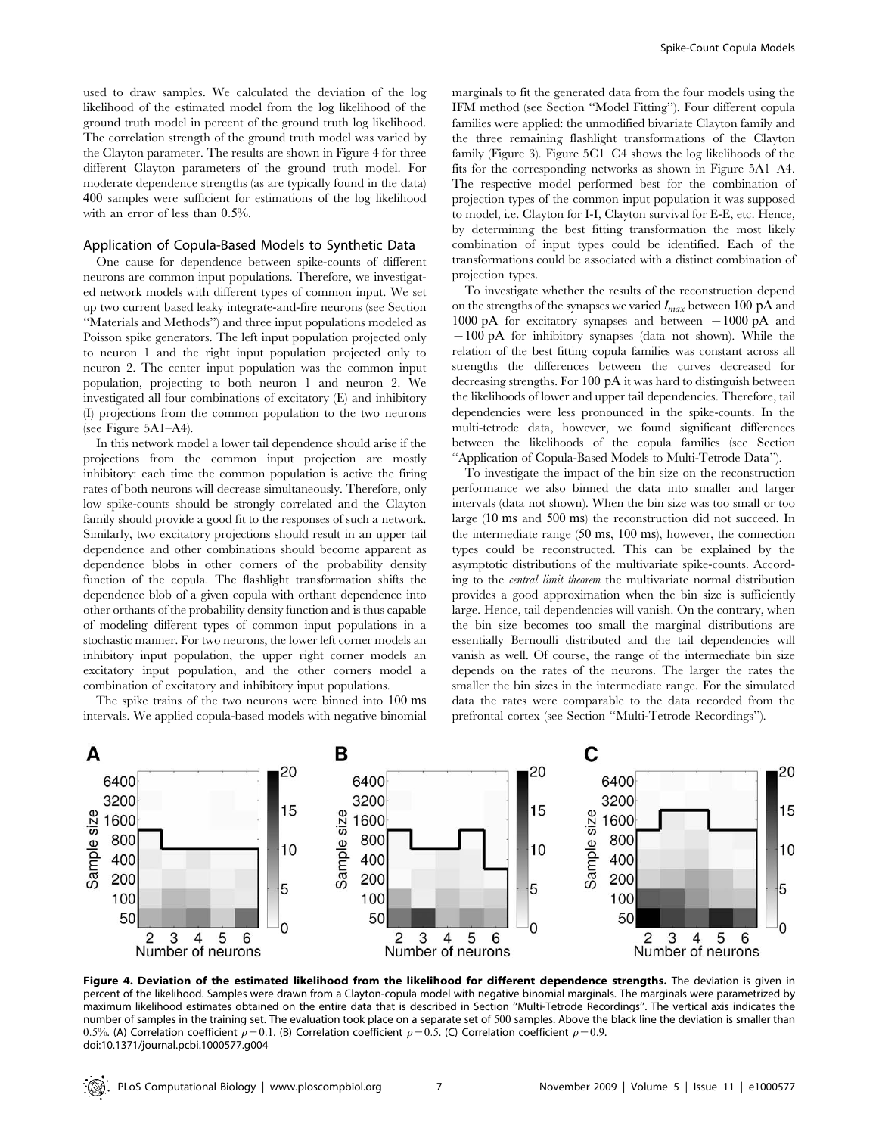used to draw samples. We calculated the deviation of the log likelihood of the estimated model from the log likelihood of the ground truth model in percent of the ground truth log likelihood. The correlation strength of the ground truth model was varied by the Clayton parameter. The results are shown in Figure 4 for three different Clayton parameters of the ground truth model. For moderate dependence strengths (as are typically found in the data) 400 samples were sufficient for estimations of the log likelihood with an error of less than  $0.5\%$ .

#### Application of Copula-Based Models to Synthetic Data

One cause for dependence between spike-counts of different neurons are common input populations. Therefore, we investigated network models with different types of common input. We set up two current based leaky integrate-and-fire neurons (see Section ''Materials and Methods'') and three input populations modeled as Poisson spike generators. The left input population projected only to neuron 1 and the right input population projected only to neuron 2. The center input population was the common input population, projecting to both neuron 1 and neuron 2. We investigated all four combinations of excitatory (E) and inhibitory (I) projections from the common population to the two neurons (see Figure 5A1–A4).

In this network model a lower tail dependence should arise if the projections from the common input projection are mostly inhibitory: each time the common population is active the firing rates of both neurons will decrease simultaneously. Therefore, only low spike-counts should be strongly correlated and the Clayton family should provide a good fit to the responses of such a network. Similarly, two excitatory projections should result in an upper tail dependence and other combinations should become apparent as dependence blobs in other corners of the probability density function of the copula. The flashlight transformation shifts the dependence blob of a given copula with orthant dependence into other orthants of the probability density function and is thus capable of modeling different types of common input populations in a stochastic manner. For two neurons, the lower left corner models an inhibitory input population, the upper right corner models an excitatory input population, and the other corners model a combination of excitatory and inhibitory input populations.

The spike trains of the two neurons were binned into 100 ms intervals. We applied copula-based models with negative binomial marginals to fit the generated data from the four models using the IFM method (see Section ''Model Fitting''). Four different copula families were applied: the unmodified bivariate Clayton family and the three remaining flashlight transformations of the Clayton family (Figure 3). Figure 5C1–C4 shows the log likelihoods of the fits for the corresponding networks as shown in Figure 5A1–A4. The respective model performed best for the combination of projection types of the common input population it was supposed to model, i.e. Clayton for I-I, Clayton survival for E-E, etc. Hence, by determining the best fitting transformation the most likely combination of input types could be identified. Each of the transformations could be associated with a distinct combination of projection types.

To investigate whether the results of the reconstruction depend on the strengths of the synapses we varied  $I_{max}$  between 100 pA and 1000 pA for excitatory synapses and between  $-1000$  pA and  $-100$  pA for inhibitory synapses (data not shown). While the relation of the best fitting copula families was constant across all strengths the differences between the curves decreased for decreasing strengths. For 100 pA it was hard to distinguish between the likelihoods of lower and upper tail dependencies. Therefore, tail dependencies were less pronounced in the spike-counts. In the multi-tetrode data, however, we found significant differences between the likelihoods of the copula families (see Section ''Application of Copula-Based Models to Multi-Tetrode Data'').

To investigate the impact of the bin size on the reconstruction performance we also binned the data into smaller and larger intervals (data not shown). When the bin size was too small or too large (10 ms and 500 ms) the reconstruction did not succeed. In the intermediate range (50 ms, 100 ms), however, the connection types could be reconstructed. This can be explained by the asymptotic distributions of the multivariate spike-counts. According to the central limit theorem the multivariate normal distribution provides a good approximation when the bin size is sufficiently large. Hence, tail dependencies will vanish. On the contrary, when the bin size becomes too small the marginal distributions are essentially Bernoulli distributed and the tail dependencies will vanish as well. Of course, the range of the intermediate bin size depends on the rates of the neurons. The larger the rates the smaller the bin sizes in the intermediate range. For the simulated data the rates were comparable to the data recorded from the prefrontal cortex (see Section ''Multi-Tetrode Recordings'').



Figure 4. Deviation of the estimated likelihood from the likelihood for different dependence strengths. The deviation is given in percent of the likelihood. Samples were drawn from a Clayton-copula model with negative binomial marginals. The marginals were parametrized by maximum likelihood estimates obtained on the entire data that is described in Section ''Multi-Tetrode Recordings''. The vertical axis indicates the number of samples in the training set. The evaluation took place on a separate set of 500 samples. Above the black line the deviation is smaller than 0.5%. (A) Correlation coefficient  $\rho = 0.1$ . (B) Correlation coefficient  $\rho = 0.5$ . (C) Correlation coefficient  $\rho = 0.9$ . doi:10.1371/journal.pcbi.1000577.g004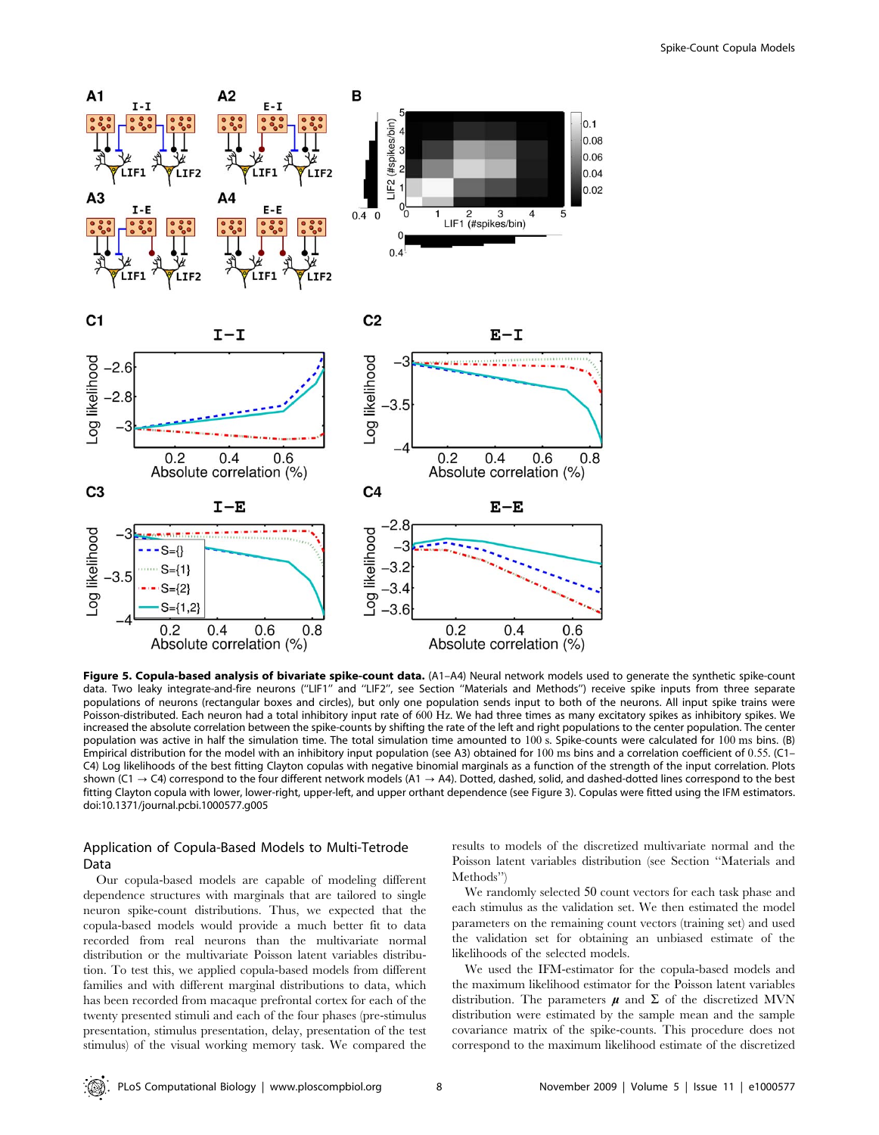

Figure 5. Copula-based analysis of bivariate spike-count data. (A1-A4) Neural network models used to generate the synthetic spike-count data. Two leaky integrate-and-fire neurons (''LIF1'' and ''LIF2'', see Section ''Materials and Methods'') receive spike inputs from three separate populations of neurons (rectangular boxes and circles), but only one population sends input to both of the neurons. All input spike trains were Poisson-distributed. Each neuron had a total inhibitory input rate of 600 Hz. We had three times as many excitatory spikes as inhibitory spikes. We increased the absolute correlation between the spike-counts by shifting the rate of the left and right populations to the center population. The center population was active in half the simulation time. The total simulation time amounted to 100 s. Spike-counts were calculated for 100 ms bins. (B) Empirical distribution for the model with an inhibitory input population (see A3) obtained for 100 ms bins and a correlation coefficient of 0:55. (C1– C4) Log likelihoods of the best fitting Clayton copulas with negative binomial marginals as a function of the strength of the input correlation. Plots shown (C1  $\rightarrow$  C4) correspond to the four different network models (A1  $\rightarrow$  A4). Dotted, dashed, solid, and dashed-dotted lines correspond to the best fitting Clayton copula with lower, lower-right, upper-left, and upper orthant dependence (see Figure 3). Copulas were fitted using the IFM estimators. doi:10.1371/journal.pcbi.1000577.g005

## Application of Copula-Based Models to Multi-Tetrode Data

Our copula-based models are capable of modeling different dependence structures with marginals that are tailored to single neuron spike-count distributions. Thus, we expected that the copula-based models would provide a much better fit to data recorded from real neurons than the multivariate normal distribution or the multivariate Poisson latent variables distribution. To test this, we applied copula-based models from different families and with different marginal distributions to data, which has been recorded from macaque prefrontal cortex for each of the twenty presented stimuli and each of the four phases (pre-stimulus presentation, stimulus presentation, delay, presentation of the test stimulus) of the visual working memory task. We compared the results to models of the discretized multivariate normal and the Poisson latent variables distribution (see Section ''Materials and Methods'')

We randomly selected 50 count vectors for each task phase and each stimulus as the validation set. We then estimated the model parameters on the remaining count vectors (training set) and used the validation set for obtaining an unbiased estimate of the likelihoods of the selected models.

We used the IFM-estimator for the copula-based models and the maximum likelihood estimator for the Poisson latent variables distribution. The parameters  $\mu$  and  $\Sigma$  of the discretized MVN distribution were estimated by the sample mean and the sample covariance matrix of the spike-counts. This procedure does not correspond to the maximum likelihood estimate of the discretized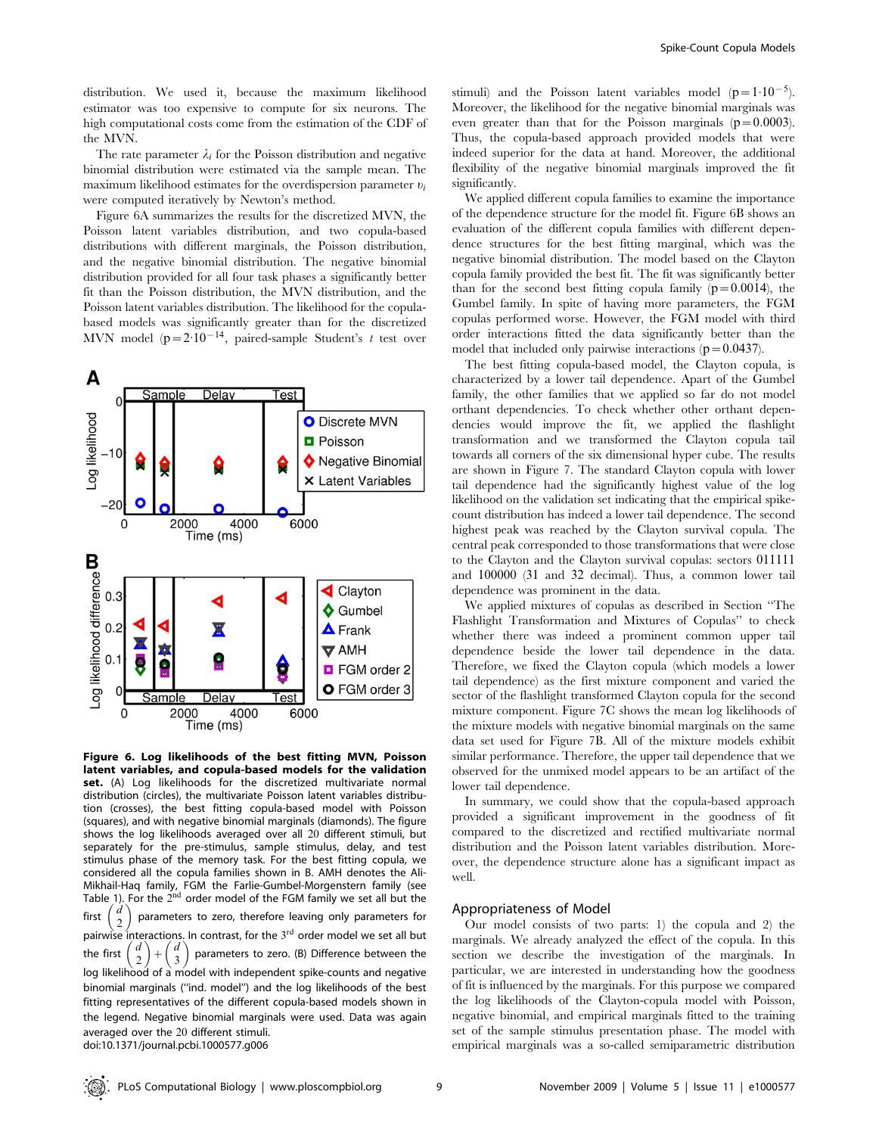distribution. We used it, because the maximum likelihood estimator was too expensive to compute for six neurons. The high computational costs come from the estimation of the CDF of the MVN.

The rate parameter  $\lambda_i$  for the Poisson distribution and negative binomial distribution were estimated via the sample mean. The maximum likelihood estimates for the overdispersion parameter  $v_i$ were computed iteratively by Newton's method.

Figure 6A summarizes the results for the discretized MVN, the Poisson latent variables distribution, and two copula-based distributions with different marginals, the Poisson distribution, and the negative binomial distribution. The negative binomial distribution provided for all four task phases a significantly better fit than the Poisson distribution, the MVN distribution, and the Poisson latent variables distribution. The likelihood for the copulabased models was significantly greater than for the discretized MVN model  $(p=2.10^{-14}$ , paired-sample Student's t test over



Figure 6. Log likelihoods of the best fitting MVN, Poisson latent variables, and copula-based models for the validation set. (A) Log likelihoods for the discretized multivariate normal distribution (circles), the multivariate Poisson latent variables distribution (crosses), the best fitting copula-based model with Poisson (squares), and with negative binomial marginals (diamonds). The figure shows the log likelihoods averaged over all 20 different stimuli, but separately for the pre-stimulus, sample stimulus, delay, and test stimulus phase of the memory task. For the best fitting copula, we considered all the copula families shown in B. AMH denotes the Ali-Mikhail-Haq family, FGM the Farlie-Gumbel-Morgenstern family (see Table 1). For the  $2<sup>nd</sup>$  order model of the FGM family we set all but the first 2 parameters to zero, therefore leaving only parameters for pairwise interactions. In contrast, for the 3<sup>rd</sup> order model we set all but the first  $\begin{pmatrix} d \\ 2 \end{pmatrix}$ 2  $+\left(\begin{matrix} d \\ 2 \end{matrix}\right)$ 3 bons. in contrast, for the 3 bodget model we set all but<br> $\begin{pmatrix} d \\ q \end{pmatrix}$  parameters to zero. (B) Difference between the log likelihood of a model with independent spike-counts and negative binomial marginals (''ind. model'') and the log likelihoods of the best fitting representatives of the different copula-based models shown in the legend. Negative binomial marginals were used. Data was again averaged over the 20 different stimuli. doi:10.1371/journal.pcbi.1000577.g006

stimuli) and the Poisson latent variables model  $(p=1.10^{-5})$ . Moreover, the likelihood for the negative binomial marginals was even greater than that for the Poisson marginals ( $p=0.0003$ ). Thus, the copula-based approach provided models that were indeed superior for the data at hand. Moreover, the additional flexibility of the negative binomial marginals improved the fit significantly.

We applied different copula families to examine the importance of the dependence structure for the model fit. Figure 6B shows an evaluation of the different copula families with different dependence structures for the best fitting marginal, which was the negative binomial distribution. The model based on the Clayton copula family provided the best fit. The fit was significantly better than for the second best fitting copula family  $(p=0.0014)$ , the Gumbel family. In spite of having more parameters, the FGM copulas performed worse. However, the FGM model with third order interactions fitted the data significantly better than the model that included only pairwise interactions  $(p=0.0437)$ .

The best fitting copula-based model, the Clayton copula, is characterized by a lower tail dependence. Apart of the Gumbel family, the other families that we applied so far do not model orthant dependencies. To check whether other orthant dependencies would improve the fit, we applied the flashlight transformation and we transformed the Clayton copula tail towards all corners of the six dimensional hyper cube. The results are shown in Figure 7. The standard Clayton copula with lower tail dependence had the significantly highest value of the log likelihood on the validation set indicating that the empirical spikecount distribution has indeed a lower tail dependence. The second highest peak was reached by the Clayton survival copula. The central peak corresponded to those transformations that were close to the Clayton and the Clayton survival copulas: sectors 011111 and 100000 (31 and 32 decimal). Thus, a common lower tail dependence was prominent in the data.

We applied mixtures of copulas as described in Section ''The Flashlight Transformation and Mixtures of Copulas'' to check whether there was indeed a prominent common upper tail dependence beside the lower tail dependence in the data. Therefore, we fixed the Clayton copula (which models a lower tail dependence) as the first mixture component and varied the sector of the flashlight transformed Clayton copula for the second mixture component. Figure 7C shows the mean log likelihoods of the mixture models with negative binomial marginals on the same data set used for Figure 7B. All of the mixture models exhibit similar performance. Therefore, the upper tail dependence that we observed for the unmixed model appears to be an artifact of the lower tail dependence.

In summary, we could show that the copula-based approach provided a significant improvement in the goodness of fit compared to the discretized and rectified multivariate normal distribution and the Poisson latent variables distribution. Moreover, the dependence structure alone has a significant impact as well.

#### Appropriateness of Model

Our model consists of two parts: 1) the copula and 2) the marginals. We already analyzed the effect of the copula. In this section we describe the investigation of the marginals. In particular, we are interested in understanding how the goodness of fit is influenced by the marginals. For this purpose we compared the log likelihoods of the Clayton-copula model with Poisson, negative binomial, and empirical marginals fitted to the training set of the sample stimulus presentation phase. The model with empirical marginals was a so-called semiparametric distribution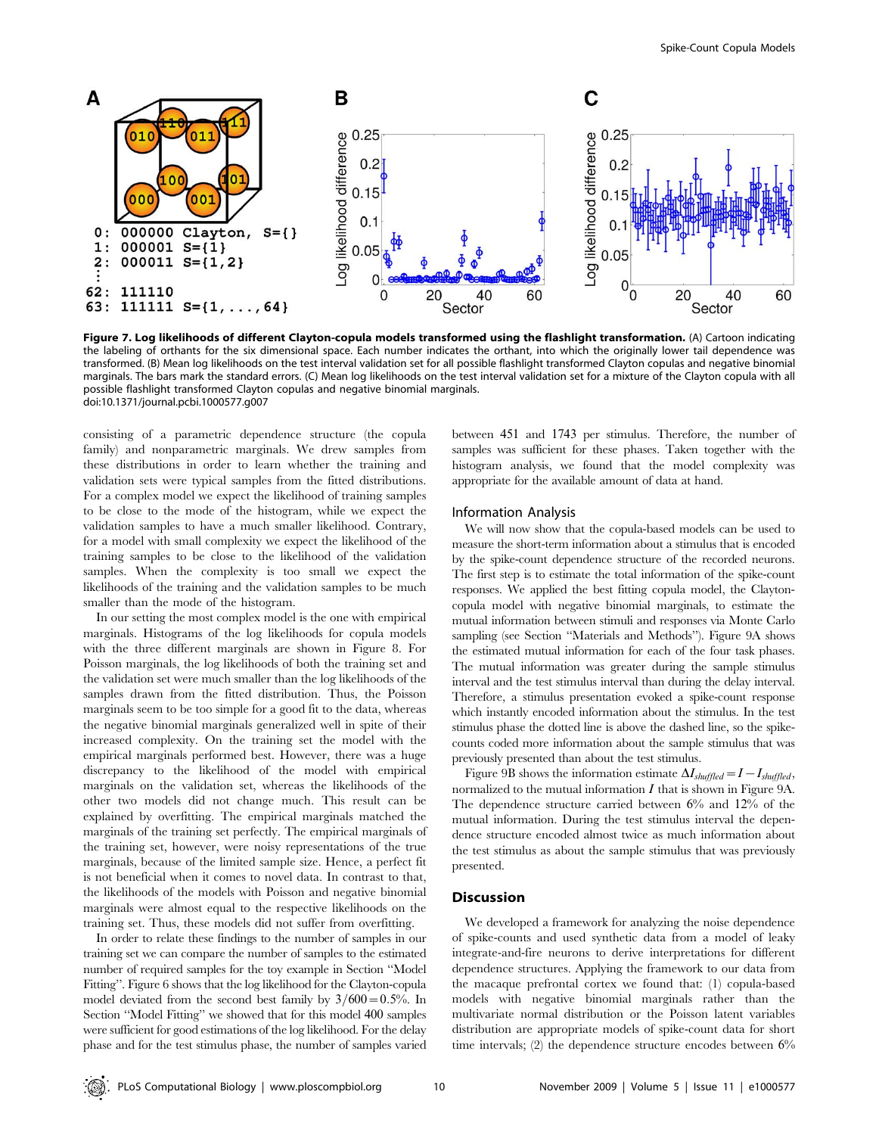

Figure 7. Log likelihoods of different Clayton-copula models transformed using the flashlight transformation. (A) Cartoon indicating the labeling of orthants for the six dimensional space. Each number indicates the orthant, into which the originally lower tail dependence was transformed. (B) Mean log likelihoods on the test interval validation set for all possible flashlight transformed Clayton copulas and negative binomial marginals. The bars mark the standard errors. (C) Mean log likelihoods on the test interval validation set for a mixture of the Clayton copula with all possible flashlight transformed Clayton copulas and negative binomial marginals. doi:10.1371/journal.pcbi.1000577.g007

consisting of a parametric dependence structure (the copula family) and nonparametric marginals. We drew samples from these distributions in order to learn whether the training and validation sets were typical samples from the fitted distributions. For a complex model we expect the likelihood of training samples to be close to the mode of the histogram, while we expect the validation samples to have a much smaller likelihood. Contrary, for a model with small complexity we expect the likelihood of the training samples to be close to the likelihood of the validation samples. When the complexity is too small we expect the likelihoods of the training and the validation samples to be much smaller than the mode of the histogram.

In our setting the most complex model is the one with empirical marginals. Histograms of the log likelihoods for copula models with the three different marginals are shown in Figure 8. For Poisson marginals, the log likelihoods of both the training set and the validation set were much smaller than the log likelihoods of the samples drawn from the fitted distribution. Thus, the Poisson marginals seem to be too simple for a good fit to the data, whereas the negative binomial marginals generalized well in spite of their increased complexity. On the training set the model with the empirical marginals performed best. However, there was a huge discrepancy to the likelihood of the model with empirical marginals on the validation set, whereas the likelihoods of the other two models did not change much. This result can be explained by overfitting. The empirical marginals matched the marginals of the training set perfectly. The empirical marginals of the training set, however, were noisy representations of the true marginals, because of the limited sample size. Hence, a perfect fit is not beneficial when it comes to novel data. In contrast to that, the likelihoods of the models with Poisson and negative binomial marginals were almost equal to the respective likelihoods on the training set. Thus, these models did not suffer from overfitting.

In order to relate these findings to the number of samples in our training set we can compare the number of samples to the estimated number of required samples for the toy example in Section ''Model Fitting''. Figure 6 shows that the log likelihood for the Clayton-copula model deviated from the second best family by  $3/600=0.5%$ . In Section ''Model Fitting'' we showed that for this model 400 samples were sufficient for good estimations of the log likelihood. For the delay phase and for the test stimulus phase, the number of samples varied between 451 and 1743 per stimulus. Therefore, the number of samples was sufficient for these phases. Taken together with the histogram analysis, we found that the model complexity was appropriate for the available amount of data at hand.

#### Information Analysis

We will now show that the copula-based models can be used to measure the short-term information about a stimulus that is encoded by the spike-count dependence structure of the recorded neurons. The first step is to estimate the total information of the spike-count responses. We applied the best fitting copula model, the Claytoncopula model with negative binomial marginals, to estimate the mutual information between stimuli and responses via Monte Carlo sampling (see Section ''Materials and Methods''). Figure 9A shows the estimated mutual information for each of the four task phases. The mutual information was greater during the sample stimulus interval and the test stimulus interval than during the delay interval. Therefore, a stimulus presentation evoked a spike-count response which instantly encoded information about the stimulus. In the test stimulus phase the dotted line is above the dashed line, so the spikecounts coded more information about the sample stimulus that was previously presented than about the test stimulus.

Figure 9B shows the information estimate  $\Delta I_{shuffled} = I - I_{shuffled}$ , normalized to the mutual information  $I$  that is shown in Figure 9A. The dependence structure carried between 6% and 12% of the mutual information. During the test stimulus interval the dependence structure encoded almost twice as much information about the test stimulus as about the sample stimulus that was previously presented.

## Discussion

We developed a framework for analyzing the noise dependence of spike-counts and used synthetic data from a model of leaky integrate-and-fire neurons to derive interpretations for different dependence structures. Applying the framework to our data from the macaque prefrontal cortex we found that: (1) copula-based models with negative binomial marginals rather than the multivariate normal distribution or the Poisson latent variables distribution are appropriate models of spike-count data for short time intervals; (2) the dependence structure encodes between 6%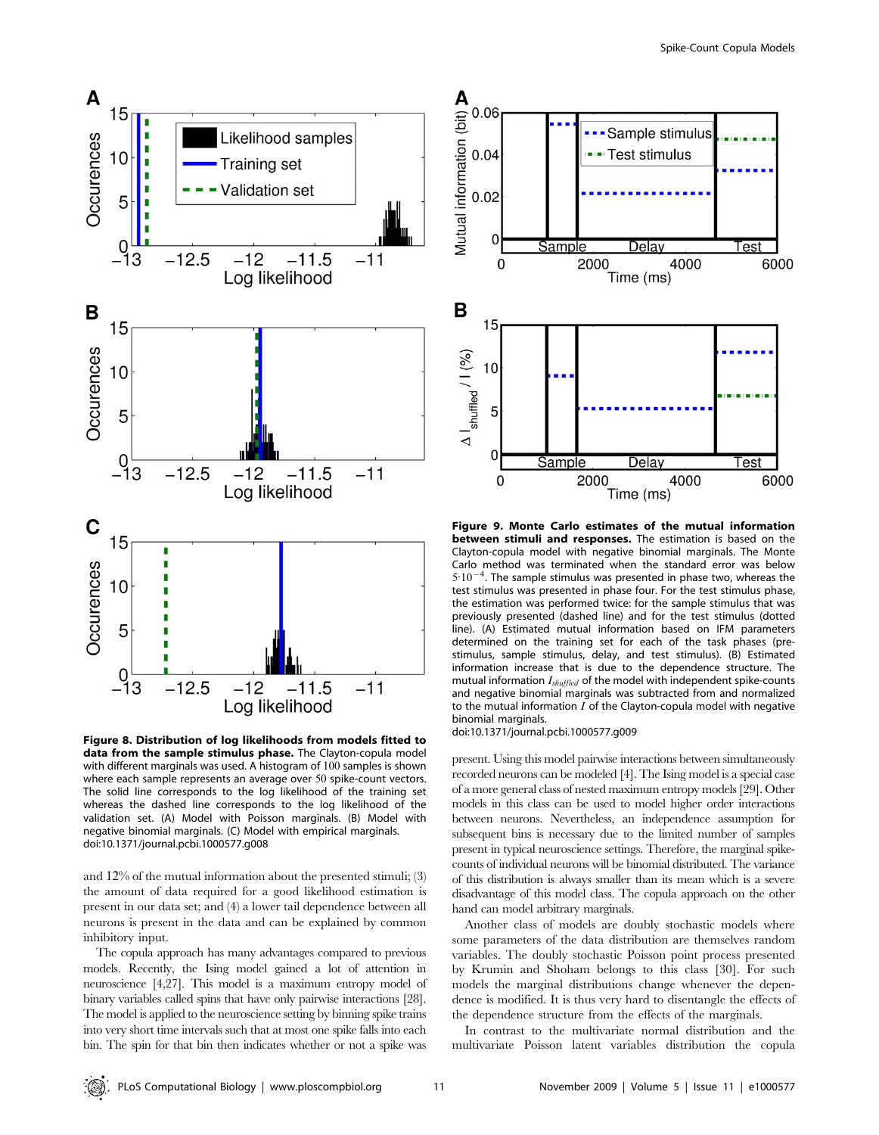



Figure 8. Distribution of log likelihoods from models fitted to data from the sample stimulus phase. The Clayton-copula model with different marginals was used. A histogram of 100 samples is shown where each sample represents an average over 50 spike-count vectors. The solid line corresponds to the log likelihood of the training set whereas the dashed line corresponds to the log likelihood of the validation set. (A) Model with Poisson marginals. (B) Model with negative binomial marginals. (C) Model with empirical marginals. doi:10.1371/journal.pcbi.1000577.g008

and 12% of the mutual information about the presented stimuli; (3) the amount of data required for a good likelihood estimation is present in our data set; and (4) a lower tail dependence between all neurons is present in the data and can be explained by common inhibitory input.

The copula approach has many advantages compared to previous models. Recently, the Ising model gained a lot of attention in neuroscience [4,27]. This model is a maximum entropy model of binary variables called spins that have only pairwise interactions [28]. The model is applied to the neuroscience setting by binning spike trains into very short time intervals such that at most one spike falls into each bin. The spin for that bin then indicates whether or not a spike was



Figure 9. Monte Carlo estimates of the mutual information between stimuli and responses. The estimation is based on the Clayton-copula model with negative binomial marginals. The Monte Carlo method was terminated when the standard error was below  $5 \cdot 10^{-4}$ . The sample stimulus was presented in phase two, whereas the test stimulus was presented in phase four. For the test stimulus phase, the estimation was performed twice: for the sample stimulus that was previously presented (dashed line) and for the test stimulus (dotted line). (A) Estimated mutual information based on IFM parameters determined on the training set for each of the task phases (prestimulus, sample stimulus, delay, and test stimulus). (B) Estimated information increase that is due to the dependence structure. The mutual information  $I_{shuffled}$  of the model with independent spike-counts and negative binomial marginals was subtracted from and normalized to the mutual information  $I$  of the Clayton-copula model with negative binomial marginals.

doi:10.1371/journal.pcbi.1000577.g009

present. Using this model pairwise interactions between simultaneously recorded neurons can be modeled [4]. The Ising model is a special case of a more general class of nested maximum entropy models [29]. Other models in this class can be used to model higher order interactions between neurons. Nevertheless, an independence assumption for subsequent bins is necessary due to the limited number of samples present in typical neuroscience settings. Therefore, the marginal spikecounts of individual neurons will be binomial distributed. The variance of this distribution is always smaller than its mean which is a severe disadvantage of this model class. The copula approach on the other hand can model arbitrary marginals.

Another class of models are doubly stochastic models where some parameters of the data distribution are themselves random variables. The doubly stochastic Poisson point process presented by Krumin and Shoham belongs to this class [30]. For such models the marginal distributions change whenever the dependence is modified. It is thus very hard to disentangle the effects of the dependence structure from the effects of the marginals.

In contrast to the multivariate normal distribution and the multivariate Poisson latent variables distribution the copula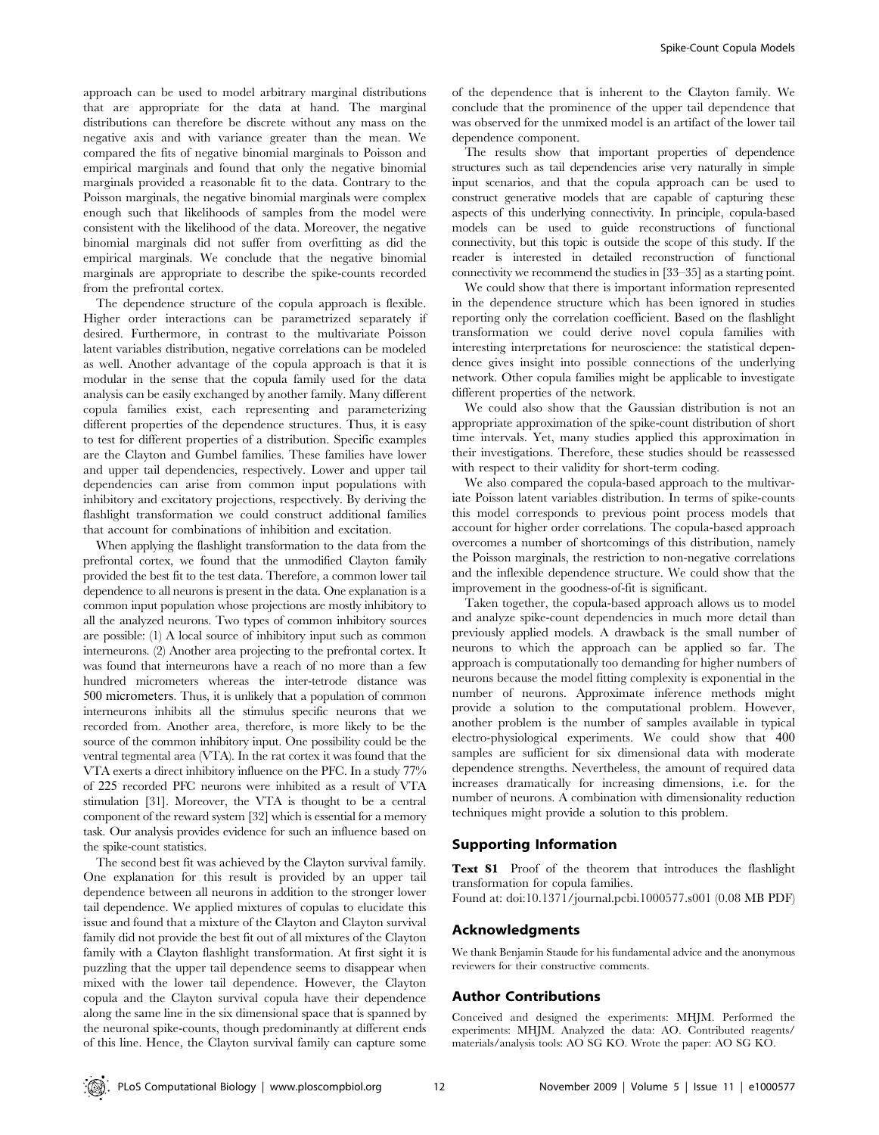approach can be used to model arbitrary marginal distributions that are appropriate for the data at hand. The marginal distributions can therefore be discrete without any mass on the negative axis and with variance greater than the mean. We compared the fits of negative binomial marginals to Poisson and empirical marginals and found that only the negative binomial marginals provided a reasonable fit to the data. Contrary to the Poisson marginals, the negative binomial marginals were complex enough such that likelihoods of samples from the model were consistent with the likelihood of the data. Moreover, the negative binomial marginals did not suffer from overfitting as did the empirical marginals. We conclude that the negative binomial marginals are appropriate to describe the spike-counts recorded from the prefrontal cortex.

The dependence structure of the copula approach is flexible. Higher order interactions can be parametrized separately if desired. Furthermore, in contrast to the multivariate Poisson latent variables distribution, negative correlations can be modeled as well. Another advantage of the copula approach is that it is modular in the sense that the copula family used for the data analysis can be easily exchanged by another family. Many different copula families exist, each representing and parameterizing different properties of the dependence structures. Thus, it is easy to test for different properties of a distribution. Specific examples are the Clayton and Gumbel families. These families have lower and upper tail dependencies, respectively. Lower and upper tail dependencies can arise from common input populations with inhibitory and excitatory projections, respectively. By deriving the flashlight transformation we could construct additional families that account for combinations of inhibition and excitation.

When applying the flashlight transformation to the data from the prefrontal cortex, we found that the unmodified Clayton family provided the best fit to the test data. Therefore, a common lower tail dependence to all neurons is present in the data. One explanation is a common input population whose projections are mostly inhibitory to all the analyzed neurons. Two types of common inhibitory sources are possible: (1) A local source of inhibitory input such as common interneurons. (2) Another area projecting to the prefrontal cortex. It was found that interneurons have a reach of no more than a few hundred micrometers whereas the inter-tetrode distance was 500 micrometers. Thus, it is unlikely that a population of common interneurons inhibits all the stimulus specific neurons that we recorded from. Another area, therefore, is more likely to be the source of the common inhibitory input. One possibility could be the ventral tegmental area (VTA). In the rat cortex it was found that the VTA exerts a direct inhibitory influence on the PFC. In a study 77% of 225 recorded PFC neurons were inhibited as a result of VTA stimulation [31]. Moreover, the VTA is thought to be a central component of the reward system [32] which is essential for a memory task. Our analysis provides evidence for such an influence based on the spike-count statistics.

The second best fit was achieved by the Clayton survival family. One explanation for this result is provided by an upper tail dependence between all neurons in addition to the stronger lower tail dependence. We applied mixtures of copulas to elucidate this issue and found that a mixture of the Clayton and Clayton survival family did not provide the best fit out of all mixtures of the Clayton family with a Clayton flashlight transformation. At first sight it is puzzling that the upper tail dependence seems to disappear when mixed with the lower tail dependence. However, the Clayton copula and the Clayton survival copula have their dependence along the same line in the six dimensional space that is spanned by the neuronal spike-counts, though predominantly at different ends of this line. Hence, the Clayton survival family can capture some

of the dependence that is inherent to the Clayton family. We conclude that the prominence of the upper tail dependence that was observed for the unmixed model is an artifact of the lower tail dependence component.

The results show that important properties of dependence structures such as tail dependencies arise very naturally in simple input scenarios, and that the copula approach can be used to construct generative models that are capable of capturing these aspects of this underlying connectivity. In principle, copula-based models can be used to guide reconstructions of functional connectivity, but this topic is outside the scope of this study. If the reader is interested in detailed reconstruction of functional connectivity we recommend the studies in [33–35] as a starting point.

We could show that there is important information represented in the dependence structure which has been ignored in studies reporting only the correlation coefficient. Based on the flashlight transformation we could derive novel copula families with interesting interpretations for neuroscience: the statistical dependence gives insight into possible connections of the underlying network. Other copula families might be applicable to investigate different properties of the network.

We could also show that the Gaussian distribution is not an appropriate approximation of the spike-count distribution of short time intervals. Yet, many studies applied this approximation in their investigations. Therefore, these studies should be reassessed with respect to their validity for short-term coding.

We also compared the copula-based approach to the multivariate Poisson latent variables distribution. In terms of spike-counts this model corresponds to previous point process models that account for higher order correlations. The copula-based approach overcomes a number of shortcomings of this distribution, namely the Poisson marginals, the restriction to non-negative correlations and the inflexible dependence structure. We could show that the improvement in the goodness-of-fit is significant.

Taken together, the copula-based approach allows us to model and analyze spike-count dependencies in much more detail than previously applied models. A drawback is the small number of neurons to which the approach can be applied so far. The approach is computationally too demanding for higher numbers of neurons because the model fitting complexity is exponential in the number of neurons. Approximate inference methods might provide a solution to the computational problem. However, another problem is the number of samples available in typical electro-physiological experiments. We could show that 400 samples are sufficient for six dimensional data with moderate dependence strengths. Nevertheless, the amount of required data increases dramatically for increasing dimensions, i.e. for the number of neurons. A combination with dimensionality reduction techniques might provide a solution to this problem.

## Supporting Information

Text S1 Proof of the theorem that introduces the flashlight transformation for copula families.

Found at: doi:10.1371/journal.pcbi.1000577.s001 (0.08 MB PDF)

#### Acknowledgments

We thank Benjamin Staude for his fundamental advice and the anonymous reviewers for their constructive comments.

#### Author Contributions

Conceived and designed the experiments: MHJM. Performed the experiments: MHJM. Analyzed the data: AO. Contributed reagents/ materials/analysis tools: AO SG KO. Wrote the paper: AO SG KO.